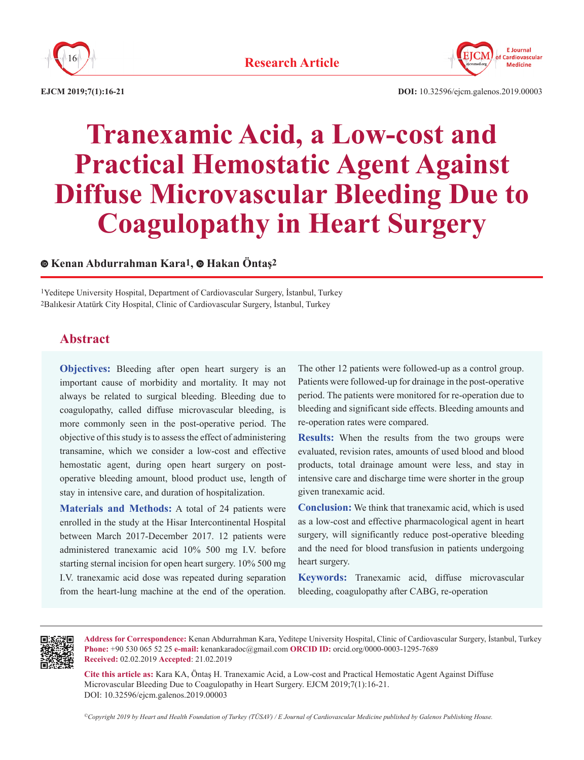



**EJCM 2019;7(1):16-21**

# **Tranexamic Acid, a Low-cost and Practical Hemostatic Agent Against Diffuse Microvascular Bleeding Due to Coagulopathy in Heart Surgery**

# **Kenan Abdurrahman Kara1,Hakan Öntaş2**

1Yeditepe University Hospital, Department of Cardiovascular Surgery, İstanbul, Turkey 2Balıkesir Atatürk City Hospital, Clinic of Cardiovascular Surgery, İstanbul, Turkey

# **Abstract**

**Objectives:** Bleeding after open heart surgery is an important cause of morbidity and mortality. It may not always be related to surgical bleeding. Bleeding due to coagulopathy, called diffuse microvascular bleeding, is more commonly seen in the post-operative period. The objective of this study is to assess the effect of administering transamine, which we consider a low-cost and effective hemostatic agent, during open heart surgery on postoperative bleeding amount, blood product use, length of stay in intensive care, and duration of hospitalization.

**Materials and Methods:** A total of 24 patients were enrolled in the study at the Hisar Intercontinental Hospital between March 2017-December 2017. 12 patients were administered tranexamic acid 10% 500 mg I.V. before starting sternal incision for open heart surgery. 10% 500 mg I.V. tranexamic acid dose was repeated during separation from the heart-lung machine at the end of the operation. The other 12 patients were followed-up as a control group. Patients were followed-up for drainage in the post-operative period. The patients were monitored for re-operation due to bleeding and significant side effects. Bleeding amounts and re-operation rates were compared.

**Results:** When the results from the two groups were evaluated, revision rates, amounts of used blood and blood products, total drainage amount were less, and stay in intensive care and discharge time were shorter in the group given tranexamic acid.

**Conclusion:** We think that tranexamic acid, which is used as a low-cost and effective pharmacological agent in heart surgery, will significantly reduce post-operative bleeding and the need for blood transfusion in patients undergoing heart surgery.

**Keywords:** Tranexamic acid, diffuse microvascular bleeding, coagulopathy after CABG, re-operation



**Address for Correspondence:** Kenan Abdurrahman Kara, Yeditepe University Hospital, Clinic of Cardiovascular Surgery, İstanbul, Turkey **Phone:** +90 530 065 52 25 **e-mail:** kenankaradoc@gmail.com **ORCID ID:** orcid.org/0000-0003-1295-7689 **Received:** 02.02.2019 **Accepted**: 21.02.2019

**Cite this article as:** Kara KA, Öntaş H. Tranexamic Acid, a Low-cost and Practical Hemostatic Agent Against Diffuse Microvascular Bleeding Due to Coagulopathy in Heart Surgery. EJCM 2019;7(1):16-21. DOI: 10.32596/ejcm.galenos.2019.00003

*©Copyright 2019 by Heart and Health Foundation of Turkey (TÜSAV) / E Journal of Cardiovascular Medicine published by Galenos Publishing House.*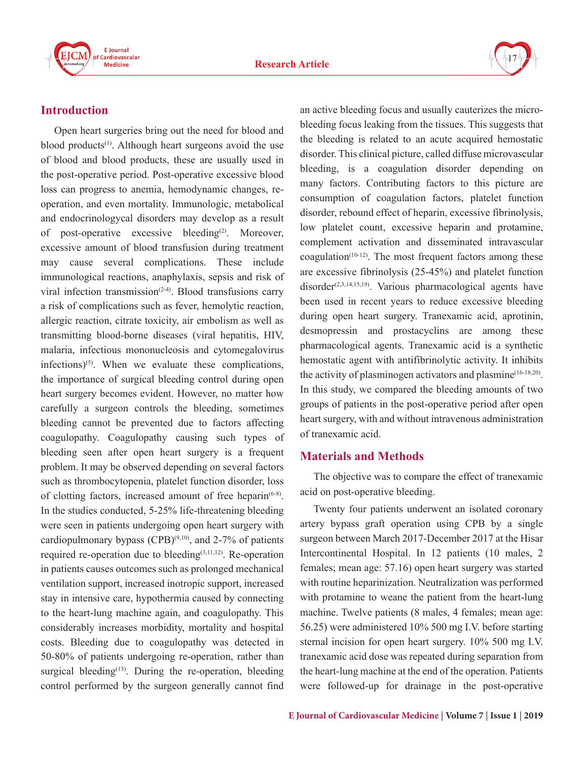



# **Introduction**

Open heart surgeries bring out the need for blood and blood products<sup>(1)</sup>. Although heart surgeons avoid the use of blood and blood products, these are usually used in the post-operative period. Post-operative excessive blood loss can progress to anemia, hemodynamic changes, reoperation, and even mortality. Immunologic, metabolical and endocrinologycal disorders may develop as a result of post-operative excessive bleeding<sup>(2)</sup>. Moreover, excessive amount of blood transfusion during treatment may cause several complications. These include immunological reactions, anaphylaxis, sepsis and risk of viral infection transmission $(2-4)$ . Blood transfusions carry a risk of complications such as fever, hemolytic reaction, allergic reaction, citrate toxicity, air embolism as well as transmitting blood-borne diseases (viral hepatitis, HIV, malaria, infectious mononucleosis and cytomegalovirus infections) $(5)$ . When we evaluate these complications, the importance of surgical bleeding control during open heart surgery becomes evident. However, no matter how carefully a surgeon controls the bleeding, sometimes bleeding cannot be prevented due to factors affecting coagulopathy. Coagulopathy causing such types of bleeding seen after open heart surgery is a frequent problem. It may be observed depending on several factors such as thrombocytopenia, platelet function disorder, loss of clotting factors, increased amount of free heparin<sup>(6-8)</sup>. In the studies conducted, 5-25% life-threatening bleeding were seen in patients undergoing open heart surgery with cardiopulmonary bypass  $(CPB)^{(9,10)}$ , and 2-7% of patients required re-operation due to bleeding $(3,11,12)$ . Re-operation in patients causes outcomes such as prolonged mechanical ventilation support, increased inotropic support, increased stay in intensive care, hypothermia caused by connecting to the heart-lung machine again, and coagulopathy. This considerably increases morbidity, mortality and hospital costs. Bleeding due to coagulopathy was detected in 50-80% of patients undergoing re-operation, rather than surgical bleeding $(13)$ . During the re-operation, bleeding control performed by the surgeon generally cannot find

an active bleeding focus and usually cauterizes the microbleeding focus leaking from the tissues. This suggests that the bleeding is related to an acute acquired hemostatic disorder. This clinical picture, called diffuse microvascular bleeding, is a coagulation disorder depending on many factors. Contributing factors to this picture are consumption of coagulation factors, platelet function disorder, rebound effect of heparin, excessive fibrinolysis, low platelet count, excessive heparin and protamine, complement activation and disseminated intravascular  $coagulation<sup>(10-12)</sup>$ . The most frequent factors among these are excessive fibrinolysis (25-45%) and platelet function disorder<sup>(2,3,14,15,19)</sup>. Various pharmacological agents have been used in recent years to reduce excessive bleeding during open heart surgery. Tranexamic acid, aprotinin, desmopressin and prostacyclins are among these pharmacological agents. Tranexamic acid is a synthetic hemostatic agent with antifibrinolytic activity. It inhibits the activity of plasminogen activators and plasmine<sup> $(16-18,20)$ </sup>. In this study, we compared the bleeding amounts of two groups of patients in the post-operative period after open heart surgery, with and without intravenous administration of tranexamic acid.

# **Materials and Methods**

The objective was to compare the effect of tranexamic acid on post-operative bleeding.

Twenty four patients underwent an isolated coronary artery bypass graft operation using CPB by a single surgeon between March 2017-December 2017 at the Hisar Intercontinental Hospital. In 12 patients (10 males, 2 females; mean age: 57.16) open heart surgery was started with routine heparinization. Neutralization was performed with protamine to weane the patient from the heart-lung machine. Twelve patients (8 males, 4 females; mean age: 56.25) were administered 10% 500 mg I.V. before starting sternal incision for open heart surgery. 10% 500 mg I.V. tranexamic acid dose was repeated during separation from the heart-lung machine at the end of the operation. Patients were followed-up for drainage in the post-operative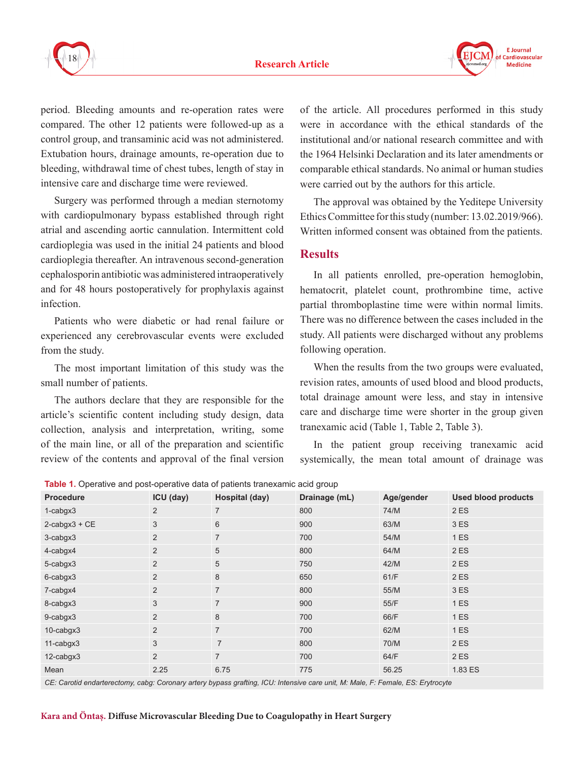



period. Bleeding amounts and re-operation rates were compared. The other 12 patients were followed-up as a control group, and transaminic acid was not administered. Extubation hours, drainage amounts, re-operation due to bleeding, withdrawal time of chest tubes, length of stay in intensive care and discharge time were reviewed.

Surgery was performed through a median sternotomy with cardiopulmonary bypass established through right atrial and ascending aortic cannulation. Intermittent cold cardioplegia was used in the initial 24 patients and blood cardioplegia thereafter. An intravenous second-generation cephalosporin antibiotic was administered intraoperatively and for 48 hours postoperatively for prophylaxis against infection.

Patients who were diabetic or had renal failure or experienced any cerebrovascular events were excluded from the study.

The most important limitation of this study was the small number of patients.

The authors declare that they are responsible for the article's scientific content including study design, data collection, analysis and interpretation, writing, some of the main line, or all of the preparation and scientific review of the contents and approval of the final version of the article. All procedures performed in this study were in accordance with the ethical standards of the institutional and/or national research committee and with the 1964 Helsinki Declaration and its later amendments or comparable ethical standards. No animal or human studies were carried out by the authors for this article.

The approval was obtained by the Yeditepe University Ethics Committee for this study (number: 13.02.2019/966). Written informed consent was obtained from the patients.

### **Results**

In all patients enrolled, pre-operation hemoglobin, hematocrit, platelet count, prothrombine time, active partial thromboplastine time were within normal limits. There was no difference between the cases included in the study. All patients were discharged without any problems following operation.

When the results from the two groups were evaluated, revision rates, amounts of used blood and blood products, total drainage amount were less, and stay in intensive care and discharge time were shorter in the group given tranexamic acid (Table 1, Table 2, Table 3).

In the patient group receiving tranexamic acid systemically, the mean total amount of drainage was

**Table 1.** Operative and post-operative data of patients tranexamic acid group

| <b>Procedure</b>    | ICU (day)      | Hospital (day) | Drainage (mL) | Age/gender | <b>Used blood products</b> |
|---------------------|----------------|----------------|---------------|------------|----------------------------|
| $1$ -cabgx $3$      | 2              | $\overline{7}$ | 800           | 74/M       | 2 ES                       |
| $2$ -cabgx $3 + CE$ | 3              | 6              | 900           | 63/M       | 3 ES                       |
| 3-cabgx3            | 2              | $\overline{7}$ | 700           | 54/M       | 1 ES                       |
| 4-cabgx4            | 2              | 5              | 800           | 64/M       | 2 ES                       |
| 5-cabgx3            | 2              | 5              | 750           | 42/M       | 2 ES                       |
| 6-cabgx3            | $\overline{2}$ | $\,8\,$        | 650           | 61/F       | 2 ES                       |
| 7-cabgx4            | 2              | $\overline{7}$ | 800           | 55/M       | 3 ES                       |
| 8-cabgx3            | 3              | $\overline{7}$ | 900           | 55/F       | 1ES                        |
| 9-cabgx3            | 2              | $\,8\,$        | 700           | 66/F       | 1 ES                       |
| 10-cabgx3           | $\overline{2}$ | $\overline{7}$ | 700           | 62/M       | 1 ES                       |
| 11-cabgx3           | 3              | $\overline{7}$ | 800           | 70/M       | 2 ES                       |
| 12-cabgx3           | 2              | $\overline{7}$ | 700           | 64/F       | 2 ES                       |
| Mean                | 2.25           | 6.75           | 775           | 56.25      | 1.83 ES                    |

*CE: Carotid endarterectomy, cabg: Coronary artery bypass grafting, ICU: Intensive care unit, M: Male, F: Female, ES: Erytrocyte*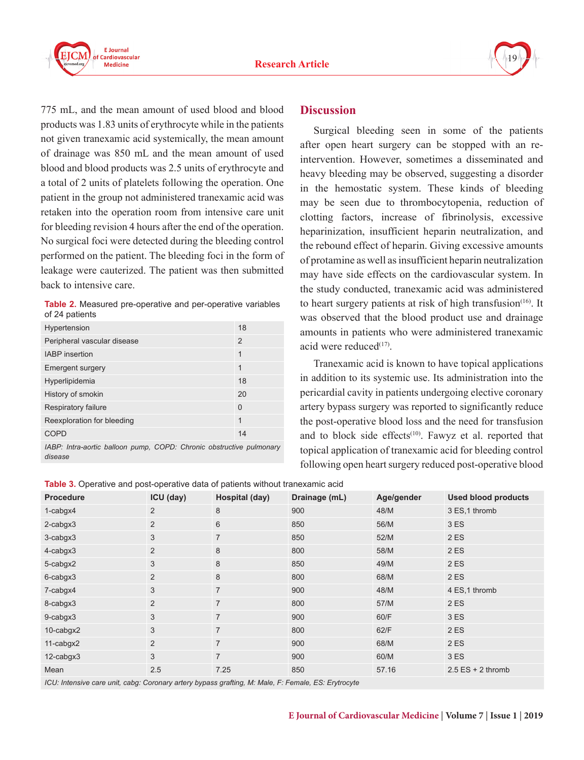



775 mL, and the mean amount of used blood and blood products was 1.83 units of erythrocyte while in the patients not given tranexamic acid systemically, the mean amount of drainage was 850 mL and the mean amount of used blood and blood products was 2.5 units of erythrocyte and a total of 2 units of platelets following the operation. One patient in the group not administered tranexamic acid was retaken into the operation room from intensive care unit for bleeding revision 4 hours after the end of the operation. No surgical foci were detected during the bleeding control performed on the patient. The bleeding foci in the form of leakage were cauterized. The patient was then submitted back to intensive care.

**Table 2.** Measured pre-operative and per-operative variables of 24 patients

| Hypertension                                                                             | 18             |
|------------------------------------------------------------------------------------------|----------------|
| Peripheral vascular disease                                                              | $\overline{2}$ |
| <b>IABP</b> insertion                                                                    | 1              |
| <b>Emergent surgery</b>                                                                  | 1              |
| Hyperlipidemia                                                                           | 18             |
| History of smokin                                                                        | 20             |
| Respiratory failure                                                                      | $\Omega$       |
| Reexploration for bleeding                                                               | 1              |
| <b>COPD</b>                                                                              | 14             |
| $\cdot$<br>$\cdots$ $\cdots$<br>$\cdots$<br>$\mathbf{a} \mathbf{a} \mathbf{a}$<br>$\sim$ |                |

*IABP: Intra-aortic balloon pump, COPD: Chronic obstructive pulmonary disease*

#### **Discussion**

Surgical bleeding seen in some of the patients after open heart surgery can be stopped with an reintervention. However, sometimes a disseminated and heavy bleeding may be observed, suggesting a disorder in the hemostatic system. These kinds of bleeding may be seen due to thrombocytopenia, reduction of clotting factors, increase of fibrinolysis, excessive heparinization, insufficient heparin neutralization, and the rebound effect of heparin. Giving excessive amounts of protamine as well as insufficient heparin neutralization may have side effects on the cardiovascular system. In the study conducted, tranexamic acid was administered to heart surgery patients at risk of high transfusion<sup> $(16)$ </sup>. It was observed that the blood product use and drainage amounts in patients who were administered tranexamic acid were reduced $(17)$ .

Tranexamic acid is known to have topical applications in addition to its systemic use. Its administration into the pericardial cavity in patients undergoing elective coronary artery bypass surgery was reported to significantly reduce the post-operative blood loss and the need for transfusion and to block side effects $(10)$ . Fawyz et al. reported that topical application of tranexamic acid for bleeding control following open heart surgery reduced post-operative blood

| Table 3. Operative and post-operative data of patients without tranexamic acid |  |
|--------------------------------------------------------------------------------|--|
|--------------------------------------------------------------------------------|--|

| <b>Procedure</b> | ICU (day)      | Hospital (day) | Drainage (mL) | Age/gender | <b>Used blood products</b> |
|------------------|----------------|----------------|---------------|------------|----------------------------|
| $1$ -cabgx $4$   | 2              | 8              | 900           | 48/M       | 3 ES, 1 thromb             |
| $2$ -cabgx $3$   | $\overline{2}$ | 6              | 850           | 56/M       | 3 ES                       |
| $3$ -cabgx $3$   | 3              | $\overline{7}$ | 850           | 52/M       | 2 ES                       |
| 4-cabgx3         | 2              | $\,8\,$        | 800           | 58/M       | 2 ES                       |
| 5-cabgx2         | 3              | 8              | 850           | 49/M       | 2 ES                       |
| 6-cabgx3         | 2              | 8              | 800           | 68/M       | 2 ES                       |
| 7-cabgx4         | 3              | $\overline{7}$ | 900           | 48/M       | 4 ES, 1 thromb             |
| 8-cabgx3         | $\overline{2}$ | $\overline{7}$ | 800           | 57/M       | 2 ES                       |
| 9-cabgx3         | 3              | $\overline{7}$ | 900           | 60/F       | 3 ES                       |
| 10-cabgx2        | 3              | $\overline{7}$ | 800           | 62/F       | 2 ES                       |
| 11-cabgx2        | $\overline{2}$ | $\overline{7}$ | 900           | 68/M       | 2 ES                       |
| 12-cabgx3        | 3              | $\overline{7}$ | 900           | 60/M       | 3 ES                       |
| Mean             | 2.5            | 7.25           | 850           | 57.16      | $2.5$ ES + 2 thromb        |

*ICU: Intensive care unit, cabg: Coronary artery bypass grafting, M: Male, F: Female, ES: Erytrocyte*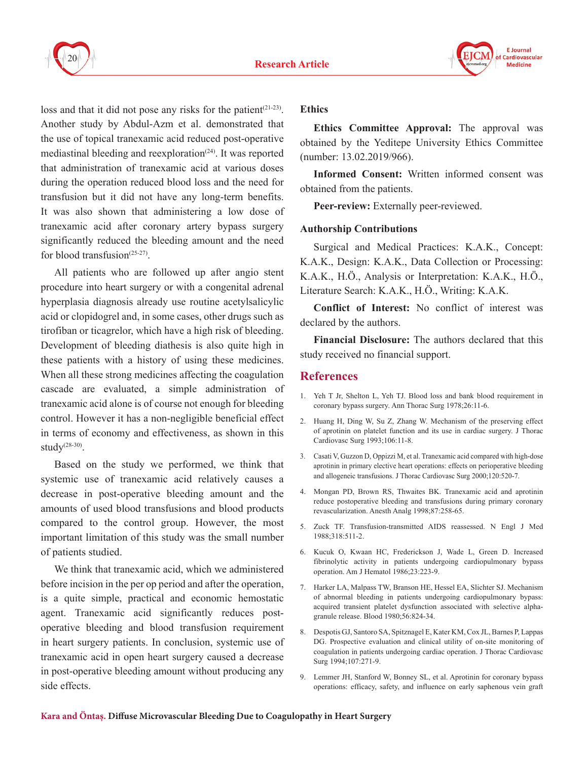



loss and that it did not pose any risks for the patient<sup>(21-23)</sup>. Another study by Abdul-Azm et al. demonstrated that the use of topical tranexamic acid reduced post-operative mediastinal bleeding and reexploration<sup> $(24)$ </sup>. It was reported that administration of tranexamic acid at various doses during the operation reduced blood loss and the need for transfusion but it did not have any long-term benefits. It was also shown that administering a low dose of tranexamic acid after coronary artery bypass surgery significantly reduced the bleeding amount and the need for blood transfusion<sup> $(25-27)$ </sup>.

All patients who are followed up after angio stent procedure into heart surgery or with a congenital adrenal hyperplasia diagnosis already use routine acetylsalicylic acid or clopidogrel and, in some cases, other drugs such as tirofiban or ticagrelor, which have a high risk of bleeding. Development of bleeding diathesis is also quite high in these patients with a history of using these medicines. When all these strong medicines affecting the coagulation cascade are evaluated, a simple administration of tranexamic acid alone is of course not enough for bleeding control. However it has a non-negligible beneficial effect in terms of economy and effectiveness, as shown in this study $(28-30)$ .

Based on the study we performed, we think that systemic use of tranexamic acid relatively causes a decrease in post-operative bleeding amount and the amounts of used blood transfusions and blood products compared to the control group. However, the most important limitation of this study was the small number of patients studied.

We think that tranexamic acid, which we administered before incision in the per op period and after the operation, is a quite simple, practical and economic hemostatic agent. Tranexamic acid significantly reduces postoperative bleeding and blood transfusion requirement in heart surgery patients. In conclusion, systemic use of tranexamic acid in open heart surgery caused a decrease in post-operative bleeding amount without producing any side effects.

#### **Ethics**

**Ethics Committee Approval:** The approval was obtained by the Yeditepe University Ethics Committee (number: 13.02.2019/966).

**Informed Consent:** Written informed consent was obtained from the patients.

**Peer-review:** Externally peer-reviewed.

#### **Authorship Contributions**

Surgical and Medical Practices: K.A.K., Concept: K.A.K., Design: K.A.K., Data Collection or Processing: K.A.K., H.Ö., Analysis or Interpretation: K.A.K., H.Ö., Literature Search: K.A.K., H.Ö., Writing: K.A.K.

**Conflict of Interest:** No conflict of interest was declared by the authors.

**Financial Disclosure:** The authors declared that this study received no financial support.

#### **References**

- 1. Yeh T Jr, Shelton L, Yeh TJ. Blood loss and bank blood requirement in coronary bypass surgery. Ann Thorac Surg 1978;26:11-6.
- 2. Huang H, Ding W, Su Z, Zhang W. Mechanism of the preserving effect of aprotinin on platelet function and its use in cardiac surgery. J Thorac Cardiovasc Surg 1993;106:11-8.
- 3. Casati V, Guzzon D, Oppizzi M, et al. Tranexamic acid compared with high-dose aprotinin in primary elective heart operations: effects on perioperative bleeding and allogeneic transfusions. J Thorac Cardiovasc Surg 2000;120:520-7.
- 4. Mongan PD, Brown RS, Thwaites BK. Tranexamic acid and aprotinin reduce postoperative bleeding and transfusions during primary coronary revascularization. Anesth Analg 1998;87:258-65.
- 5. Zuck TF. Transfusion-transmitted AIDS reassessed. N Engl J Med 1988;318:511-2.
- 6. Kucuk O, Kwaan HC, Frederickson J, Wade L, Green D. Increased fibrinolytic activity in patients undergoing cardiopulmonary bypass operation. Am J Hematol 1986;23:223-9.
- 7. Harker LA, Malpass TW, Branson HE, Hessel EA, Slichter SJ. Mechanism of abnormal bleeding in patients undergoing cardiopulmonary bypass: acquired transient platelet dysfunction associated with selective alphagranule release. Blood 1980;56:824-34.
- 8. Despotis GJ, Santoro SA, Spitznagel E, Kater KM, Cox JL, Barnes P, Lappas DG. Prospective evaluation and clinical utility of on-site monitoring of coagulation in patients undergoing cardiac operation. J Thorac Cardiovasc Surg 1994;107:271-9.
- 9. Lemmer JH, Stanford W, Bonney SL, et al. Aprotinin for coronary bypass operations: efficacy, safety, and influence on early saphenous vein graft